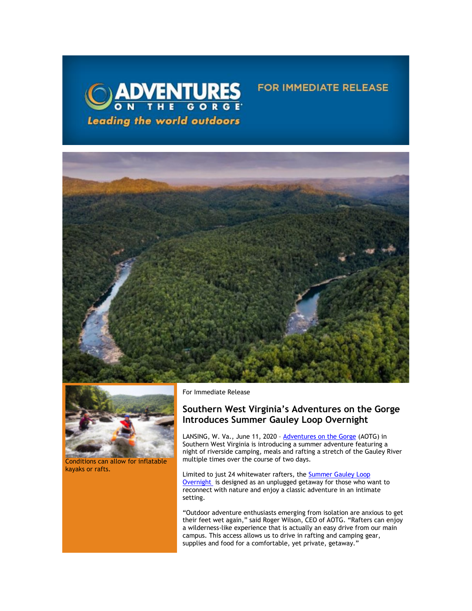

## **FOR IMMEDIATE RELEASE**





Conditions can allow for inflatable kayaks or rafts.

For Immediate Release

## **Southern West Virginia's Adventures on the Gorge Introduces Summer Gauley Loop Overnight**

LANSING, W. Va., June 11, 2020 - [Adventures on the Gorge](https://click.icptrack.com/icp/relay.php?r=13440961&msgid=455515&act=3SPQ&c=1378153&destination=http%3A%2F%2Fwww.adventuresonthegorge.com%2F&cf=13608&v=5a6d29c5bd89500c6946838c97b8849561ebbd48dbb2fdae9fe0068cb3f8e60e) (AOTG) in Southern West Virginia is introducing a summer adventure featuring a night of riverside camping, meals and rafting a stretch of the Gauley River multiple times over the course of two days.

Limited to just 24 whitewater rafters, the [Summer Gauley Loop](https://click.icptrack.com/icp/relay.php?r=13440961&msgid=455515&act=3SPQ&c=1378153&destination=https%3A%2F%2Fadventuresonthegorge.com%2Fadventures%2Fwhitewater-rafting%2Fsummer-gauley-loop-overnight%2F&cf=13608&v=4850d45587df31612fc20496dd2cce90cea3787d6dbc23d49d242d845627523b)  [Overnight](https://click.icptrack.com/icp/relay.php?r=13440961&msgid=455515&act=3SPQ&c=1378153&destination=https%3A%2F%2Fadventuresonthegorge.com%2Fadventures%2Fwhitewater-rafting%2Fsummer-gauley-loop-overnight%2F&cf=13608&v=4850d45587df31612fc20496dd2cce90cea3787d6dbc23d49d242d845627523b) is designed as an unplugged getaway for those who want to reconnect with nature and enjoy a classic adventure in an intimate setting.

"Outdoor adventure enthusiasts emerging from isolation are anxious to get their feet wet again," said Roger Wilson, CEO of AOTG. "Rafters can enjoy a wilderness-like experience that is actually an easy drive from our main campus. This access allows us to drive in rafting and camping gear, supplies and food for a comfortable, yet private, getaway."